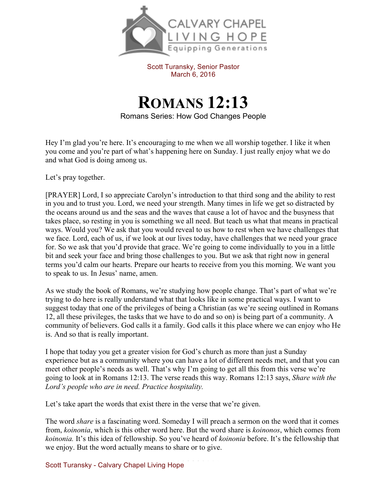

Scott Turansky, Senior Pastor March 6, 2016

## **ROMANS 12:13**

Romans Series: How God Changes People

Hey I'm glad you're here. It's encouraging to me when we all worship together. I like it when you come and you're part of what's happening here on Sunday. I just really enjoy what we do and what God is doing among us.

Let's pray together.

[PRAYER] Lord, I so appreciate Carolyn's introduction to that third song and the ability to rest in you and to trust you. Lord, we need your strength. Many times in life we get so distracted by the oceans around us and the seas and the waves that cause a lot of havoc and the busyness that takes place, so resting in you is something we all need. But teach us what that means in practical ways. Would you? We ask that you would reveal to us how to rest when we have challenges that we face. Lord, each of us, if we look at our lives today, have challenges that we need your grace for. So we ask that you'd provide that grace. We're going to come individually to you in a little bit and seek your face and bring those challenges to you. But we ask that right now in general terms you'd calm our hearts. Prepare our hearts to receive from you this morning. We want you to speak to us. In Jesus' name, amen.

As we study the book of Romans, we're studying how people change. That's part of what we're trying to do here is really understand what that looks like in some practical ways. I want to suggest today that one of the privileges of being a Christian (as we're seeing outlined in Romans 12, all these privileges, the tasks that we have to do and so on) is being part of a community. A community of believers. God calls it a family. God calls it this place where we can enjoy who He is. And so that is really important.

I hope that today you get a greater vision for God's church as more than just a Sunday experience but as a community where you can have a lot of different needs met, and that you can meet other people's needs as well. That's why I'm going to get all this from this verse we're going to look at in Romans 12:13. The verse reads this way. Romans 12:13 says, *Share with the Lord's people who are in need. Practice hospitality.*

Let's take apart the words that exist there in the verse that we're given.

The word *share* is a fascinating word. Someday I will preach a sermon on the word that it comes from, *koinonia*, which is this other word here. But the word share is *koinonos*, which comes from *koinonia.* It's this idea of fellowship. So you've heard of *koinonia* before. It's the fellowship that we enjoy. But the word actually means to share or to give.

Scott Turansky - Calvary Chapel Living Hope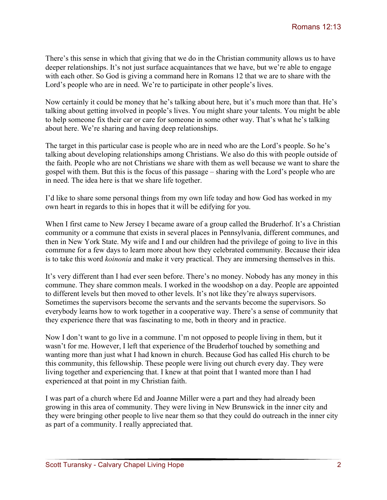There's this sense in which that giving that we do in the Christian community allows us to have deeper relationships. It's not just surface acquaintances that we have, but we're able to engage with each other. So God is giving a command here in Romans 12 that we are to share with the Lord's people who are in need. We're to participate in other people's lives.

Now certainly it could be money that he's talking about here, but it's much more than that. He's talking about getting involved in people's lives. You might share your talents. You might be able to help someone fix their car or care for someone in some other way. That's what he's talking about here. We're sharing and having deep relationships.

The target in this particular case is people who are in need who are the Lord's people. So he's talking about developing relationships among Christians. We also do this with people outside of the faith. People who are not Christians we share with them as well because we want to share the gospel with them. But this is the focus of this passage – sharing with the Lord's people who are in need. The idea here is that we share life together.

I'd like to share some personal things from my own life today and how God has worked in my own heart in regards to this in hopes that it will be edifying for you.

When I first came to New Jersey I became aware of a group called the Bruderhof. It's a Christian community or a commune that exists in several places in Pennsylvania, different communes, and then in New York State. My wife and I and our children had the privilege of going to live in this commune for a few days to learn more about how they celebrated community. Because their idea is to take this word *koinonia* and make it very practical. They are immersing themselves in this.

It's very different than I had ever seen before. There's no money. Nobody has any money in this commune. They share common meals. I worked in the woodshop on a day. People are appointed to different levels but then moved to other levels. It's not like they're always supervisors. Sometimes the supervisors become the servants and the servants become the supervisors. So everybody learns how to work together in a cooperative way. There's a sense of community that they experience there that was fascinating to me, both in theory and in practice.

Now I don't want to go live in a commune. I'm not opposed to people living in them, but it wasn't for me. However, I left that experience of the Bruderhof touched by something and wanting more than just what I had known in church. Because God has called His church to be this community, this fellowship. These people were living out church every day. They were living together and experiencing that. I knew at that point that I wanted more than I had experienced at that point in my Christian faith.

I was part of a church where Ed and Joanne Miller were a part and they had already been growing in this area of community. They were living in New Brunswick in the inner city and they were bringing other people to live near them so that they could do outreach in the inner city as part of a community. I really appreciated that.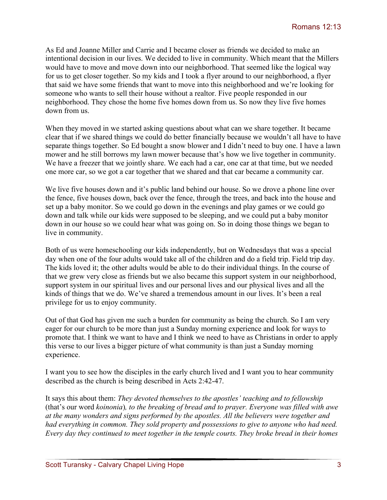As Ed and Joanne Miller and Carrie and I became closer as friends we decided to make an intentional decision in our lives. We decided to live in community. Which meant that the Millers would have to move and move down into our neighborhood. That seemed like the logical way for us to get closer together. So my kids and I took a flyer around to our neighborhood, a flyer that said we have some friends that want to move into this neighborhood and we're looking for someone who wants to sell their house without a realtor. Five people responded in our neighborhood. They chose the home five homes down from us. So now they live five homes down from us.

When they moved in we started asking questions about what can we share together. It became clear that if we shared things we could do better financially because we wouldn't all have to have separate things together. So Ed bought a snow blower and I didn't need to buy one. I have a lawn mower and he still borrows my lawn mower because that's how we live together in community. We have a freezer that we jointly share. We each had a car, one car at that time, but we needed one more car, so we got a car together that we shared and that car became a community car.

We live five houses down and it's public land behind our house. So we drove a phone line over the fence, five houses down, back over the fence, through the trees, and back into the house and set up a baby monitor. So we could go down in the evenings and play games or we could go down and talk while our kids were supposed to be sleeping, and we could put a baby monitor down in our house so we could hear what was going on. So in doing those things we began to live in community.

Both of us were homeschooling our kids independently, but on Wednesdays that was a special day when one of the four adults would take all of the children and do a field trip. Field trip day. The kids loved it; the other adults would be able to do their individual things. In the course of that we grew very close as friends but we also became this support system in our neighborhood, support system in our spiritual lives and our personal lives and our physical lives and all the kinds of things that we do. We've shared a tremendous amount in our lives. It's been a real privilege for us to enjoy community.

Out of that God has given me such a burden for community as being the church. So I am very eager for our church to be more than just a Sunday morning experience and look for ways to promote that. I think we want to have and I think we need to have as Christians in order to apply this verse to our lives a bigger picture of what community is than just a Sunday morning experience.

I want you to see how the disciples in the early church lived and I want you to hear community described as the church is being described in Acts 2:42-47.

It says this about them: *They devoted themselves to the apostles' teaching and to fellowship* (that's our word *koinonia*)*, to the breaking of bread and to prayer. Everyone was filled with awe at the many wonders and signs performed by the apostles. All the believers were together and had everything in common. They sold property and possessions to give to anyone who had need. Every day they continued to meet together in the temple courts. They broke bread in their homes*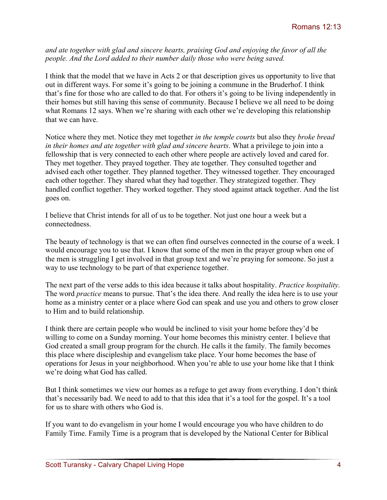*and ate together with glad and sincere hearts, praising God and enjoying the favor of all the people. And the Lord added to their number daily those who were being saved.*

I think that the model that we have in Acts 2 or that description gives us opportunity to live that out in different ways. For some it's going to be joining a commune in the Bruderhof. I think that's fine for those who are called to do that. For others it's going to be living independently in their homes but still having this sense of community. Because I believe we all need to be doing what Romans 12 says. When we're sharing with each other we're developing this relationship that we can have.

Notice where they met. Notice they met together *in the temple courts* but also they *broke bread in their homes and ate together with glad and sincere hearts*. What a privilege to join into a fellowship that is very connected to each other where people are actively loved and cared for. They met together. They prayed together. They ate together. They consulted together and advised each other together. They planned together. They witnessed together. They encouraged each other together. They shared what they had together. They strategized together. They handled conflict together. They worked together. They stood against attack together. And the list goes on.

I believe that Christ intends for all of us to be together. Not just one hour a week but a connectedness.

The beauty of technology is that we can often find ourselves connected in the course of a week. I would encourage you to use that. I know that some of the men in the prayer group when one of the men is struggling I get involved in that group text and we're praying for someone. So just a way to use technology to be part of that experience together.

The next part of the verse adds to this idea because it talks about hospitality. *Practice hospitality.*  The word *practice* means to pursue. That's the idea there. And really the idea here is to use your home as a ministry center or a place where God can speak and use you and others to grow closer to Him and to build relationship.

I think there are certain people who would be inclined to visit your home before they'd be willing to come on a Sunday morning. Your home becomes this ministry center. I believe that God created a small group program for the church. He calls it the family. The family becomes this place where discipleship and evangelism take place. Your home becomes the base of operations for Jesus in your neighborhood. When you're able to use your home like that I think we're doing what God has called.

But I think sometimes we view our homes as a refuge to get away from everything. I don't think that's necessarily bad. We need to add to that this idea that it's a tool for the gospel. It's a tool for us to share with others who God is.

If you want to do evangelism in your home I would encourage you who have children to do Family Time. Family Time is a program that is developed by the National Center for Biblical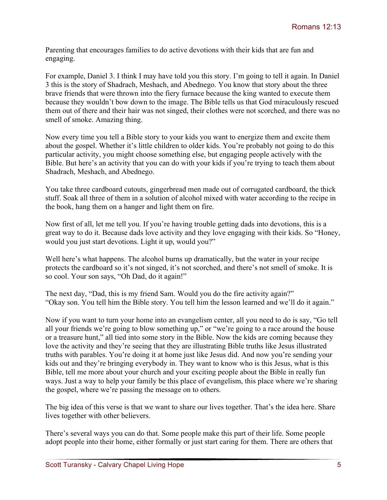Parenting that encourages families to do active devotions with their kids that are fun and engaging.

For example, Daniel 3. I think I may have told you this story. I'm going to tell it again. In Daniel 3 this is the story of Shadrach, Meshach, and Abednego. You know that story about the three brave friends that were thrown into the fiery furnace because the king wanted to execute them because they wouldn't bow down to the image. The Bible tells us that God miraculously rescued them out of there and their hair was not singed, their clothes were not scorched, and there was no smell of smoke. Amazing thing.

Now every time you tell a Bible story to your kids you want to energize them and excite them about the gospel. Whether it's little children to older kids. You're probably not going to do this particular activity, you might choose something else, but engaging people actively with the Bible. But here's an activity that you can do with your kids if you're trying to teach them about Shadrach, Meshach, and Abednego.

You take three cardboard cutouts, gingerbread men made out of corrugated cardboard, the thick stuff. Soak all three of them in a solution of alcohol mixed with water according to the recipe in the book, hang them on a hanger and light them on fire.

Now first of all, let me tell you. If you're having trouble getting dads into devotions, this is a great way to do it. Because dads love activity and they love engaging with their kids. So "Honey, would you just start devotions. Light it up, would you?"

Well here's what happens. The alcohol burns up dramatically, but the water in your recipe protects the cardboard so it's not singed, it's not scorched, and there's not smell of smoke. It is so cool. Your son says, "Oh Dad, do it again!"

The next day, "Dad, this is my friend Sam. Would you do the fire activity again?" "Okay son. You tell him the Bible story. You tell him the lesson learned and we'll do it again."

Now if you want to turn your home into an evangelism center, all you need to do is say, "Go tell all your friends we're going to blow something up," or "we're going to a race around the house or a treasure hunt," all tied into some story in the Bible. Now the kids are coming because they love the activity and they're seeing that they are illustrating Bible truths like Jesus illustrated truths with parables. You're doing it at home just like Jesus did. And now you're sending your kids out and they're bringing everybody in. They want to know who is this Jesus, what is this Bible, tell me more about your church and your exciting people about the Bible in really fun ways. Just a way to help your family be this place of evangelism, this place where we're sharing the gospel, where we're passing the message on to others.

The big idea of this verse is that we want to share our lives together. That's the idea here. Share lives together with other believers.

There's several ways you can do that. Some people make this part of their life. Some people adopt people into their home, either formally or just start caring for them. There are others that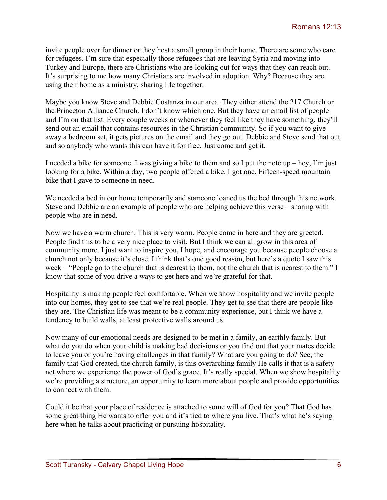invite people over for dinner or they host a small group in their home. There are some who care for refugees. I'm sure that especially those refugees that are leaving Syria and moving into Turkey and Europe, there are Christians who are looking out for ways that they can reach out. It's surprising to me how many Christians are involved in adoption. Why? Because they are using their home as a ministry, sharing life together.

Maybe you know Steve and Debbie Costanza in our area. They either attend the 217 Church or the Princeton Alliance Church. I don't know which one. But they have an email list of people and I'm on that list. Every couple weeks or whenever they feel like they have something, they'll send out an email that contains resources in the Christian community. So if you want to give away a bedroom set, it gets pictures on the email and they go out. Debbie and Steve send that out and so anybody who wants this can have it for free. Just come and get it.

I needed a bike for someone. I was giving a bike to them and so I put the note up – hey, I'm just looking for a bike. Within a day, two people offered a bike. I got one. Fifteen-speed mountain bike that I gave to someone in need.

We needed a bed in our home temporarily and someone loaned us the bed through this network. Steve and Debbie are an example of people who are helping achieve this verse – sharing with people who are in need.

Now we have a warm church. This is very warm. People come in here and they are greeted. People find this to be a very nice place to visit. But I think we can all grow in this area of community more. I just want to inspire you, I hope, and encourage you because people choose a church not only because it's close. I think that's one good reason, but here's a quote I saw this week – "People go to the church that is dearest to them, not the church that is nearest to them." I know that some of you drive a ways to get here and we're grateful for that.

Hospitality is making people feel comfortable. When we show hospitality and we invite people into our homes, they get to see that we're real people. They get to see that there are people like they are. The Christian life was meant to be a community experience, but I think we have a tendency to build walls, at least protective walls around us.

Now many of our emotional needs are designed to be met in a family, an earthly family. But what do you do when your child is making bad decisions or you find out that your mates decide to leave you or you're having challenges in that family? What are you going to do? See, the family that God created, the church family, is this overarching family He calls it that is a safety net where we experience the power of God's grace. It's really special. When we show hospitality we're providing a structure, an opportunity to learn more about people and provide opportunities to connect with them.

Could it be that your place of residence is attached to some will of God for you? That God has some great thing He wants to offer you and it's tied to where you live. That's what he's saying here when he talks about practicing or pursuing hospitality.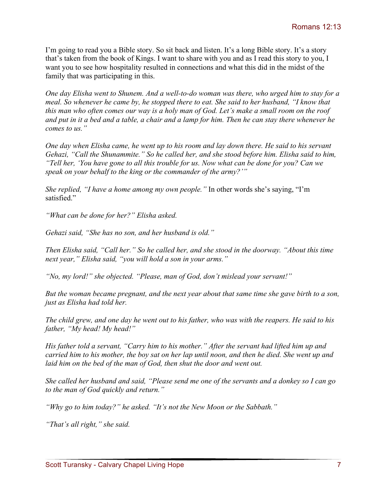I'm going to read you a Bible story. So sit back and listen. It's a long Bible story. It's a story that's taken from the book of Kings. I want to share with you and as I read this story to you, I want you to see how hospitality resulted in connections and what this did in the midst of the family that was participating in this.

*One day Elisha went to Shunem. And a well-to-do woman was there, who urged him to stay for a meal. So whenever he came by, he stopped there to eat. She said to her husband, "I know that this man who often comes our way is a holy man of God. Let's make a small room on the roof and put in it a bed and a table, a chair and a lamp for him. Then he can stay there whenever he comes to us."*

*One day when Elisha came, he went up to his room and lay down there. He said to his servant Gehazi, "Call the Shunammite." So he called her, and she stood before him. Elisha said to him, "Tell her, 'You have gone to all this trouble for us. Now what can be done for you? Can we speak on your behalf to the king or the commander of the army?'"*

*She replied, "I have a home among my own people."* In other words she's saying, "I'm satisfied."

*"What can be done for her?" Elisha asked.*

*Gehazi said, "She has no son, and her husband is old."*

*Then Elisha said, "Call her." So he called her, and she stood in the doorway. "About this time next year," Elisha said, "you will hold a son in your arms."*

*"No, my lord!" she objected. "Please, man of God, don't mislead your servant!"*

*But the woman became pregnant, and the next year about that same time she gave birth to a son, just as Elisha had told her.*

*The child grew, and one day he went out to his father, who was with the reapers. He said to his father, "My head! My head!"*

*His father told a servant, "Carry him to his mother." After the servant had lifted him up and carried him to his mother, the boy sat on her lap until noon, and then he died. She went up and laid him on the bed of the man of God, then shut the door and went out.*

*She called her husband and said, "Please send me one of the servants and a donkey so I can go to the man of God quickly and return."*

*"Why go to him today?" he asked. "It's not the New Moon or the Sabbath."*

*"That's all right," she said.*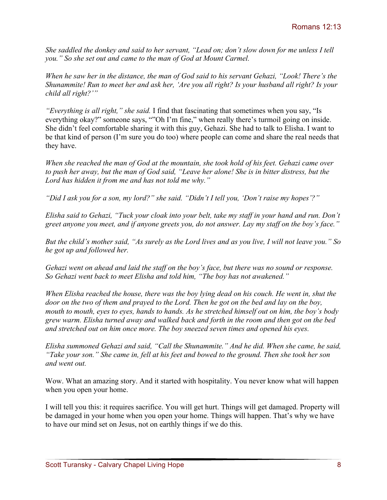*She saddled the donkey and said to her servant, "Lead on; don't slow down for me unless I tell you." So she set out and came to the man of God at Mount Carmel.*

*When he saw her in the distance, the man of God said to his servant Gehazi, "Look! There's the Shunammite! Run to meet her and ask her, 'Are you all right? Is your husband all right? Is your child all right?'"*

*"Everything is all right," she said.* I find that fascinating that sometimes when you say, "Is everything okay?" someone says, ""Oh I'm fine," when really there's turmoil going on inside. She didn't feel comfortable sharing it with this guy, Gehazi. She had to talk to Elisha. I want to be that kind of person (I'm sure you do too) where people can come and share the real needs that they have.

*When she reached the man of God at the mountain, she took hold of his feet. Gehazi came over to push her away, but the man of God said, "Leave her alone! She is in bitter distress, but the Lord has hidden it from me and has not told me why."*

*"Did I ask you for a son, my lord?" she said. "Didn't I tell you, 'Don't raise my hopes'?"*

*Elisha said to Gehazi, "Tuck your cloak into your belt, take my staff in your hand and run. Don't greet anyone you meet, and if anyone greets you, do not answer. Lay my staff on the boy's face."*

*But the child's mother said, "As surely as the Lord lives and as you live, I will not leave you." So he got up and followed her.*

*Gehazi went on ahead and laid the staff on the boy's face, but there was no sound or response. So Gehazi went back to meet Elisha and told him, "The boy has not awakened."*

*When Elisha reached the house, there was the boy lying dead on his couch. He went in, shut the door on the two of them and prayed to the Lord. Then he got on the bed and lay on the boy, mouth to mouth, eyes to eyes, hands to hands. As he stretched himself out on him, the boy's body grew warm. Elisha turned away and walked back and forth in the room and then got on the bed and stretched out on him once more. The boy sneezed seven times and opened his eyes.*

*Elisha summoned Gehazi and said, "Call the Shunammite." And he did. When she came, he said, "Take your son." She came in, fell at his feet and bowed to the ground. Then she took her son and went out.*

Wow. What an amazing story. And it started with hospitality. You never know what will happen when you open your home.

I will tell you this: it requires sacrifice. You will get hurt. Things will get damaged. Property will be damaged in your home when you open your home. Things will happen. That's why we have to have our mind set on Jesus, not on earthly things if we do this.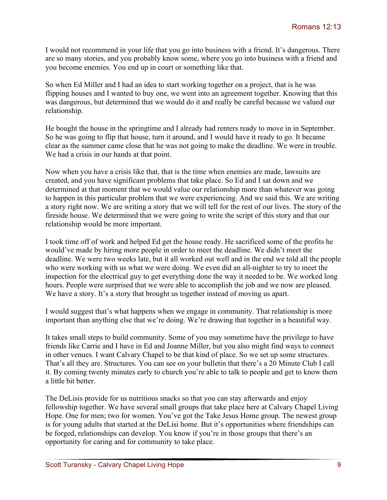I would not recommend in your life that you go into business with a friend. It's dangerous. There are so many stories, and you probably know some, where you go into business with a friend and you become enemies. You end up in court or something like that.

So when Ed Miller and I had an idea to start working together on a project, that is he was flipping houses and I wanted to buy one, we went into an agreement together. Knowing that this was dangerous, but determined that we would do it and really be careful because we valued our relationship.

He bought the house in the springtime and I already had renters ready to move in in September. So he was going to flip that house, turn it around, and I would have it ready to go. It became clear as the summer came close that he was not going to make the deadline. We were in trouble. We had a crisis in our hands at that point.

Now when you have a crisis like that, that is the time when enemies are made, lawsuits are created, and you have significant problems that take place. So Ed and I sat down and we determined at that moment that we would value our relationship more than whatever was going to happen in this particular problem that we were experiencing. And we said this. We are writing a story right now. We are writing a story that we will tell for the rest of our lives. The story of the fireside house. We determined that we were going to write the script of this story and that our relationship would be more important.

I took time off of work and helped Ed get the house ready. He sacrificed some of the profits he would've made by hiring more people in order to meet the deadline. We didn't meet the deadline. We were two weeks late, but it all worked out well and in the end we told all the people who were working with us what we were doing. We even did an all-nighter to try to meet the inspection for the electrical guy to get everything done the way it needed to be. We worked long hours. People were surprised that we were able to accomplish the job and we now are pleased. We have a story. It's a story that brought us together instead of moving us apart.

I would suggest that's what happens when we engage in community. That relationship is more important than anything else that we're doing. We're drawing that together in a beautiful way.

It takes small steps to build community. Some of you may sometime have the privilege to have friends like Carrie and I have in Ed and Joanne Miller, but you also might find ways to connect in other venues. I want Calvary Chapel to be that kind of place. So we set up some structures. That's all they are. Structures. You can see on your bulletin that there's a 20 Minute Club I call it. By coming twenty minutes early to church you're able to talk to people and get to know them a little bit better.

The DeLisis provide for us nutritious snacks so that you can stay afterwards and enjoy fellowship together. We have several small groups that take place here at Calvary Chapel Living Hope. One for men; two for women. You've got the Take Jesus Home group. The newest group is for young adults that started at the DeLisi home. But it's opportunities where friendships can be forged, relationships can develop. You know if you're in those groups that there's an opportunity for caring and for community to take place.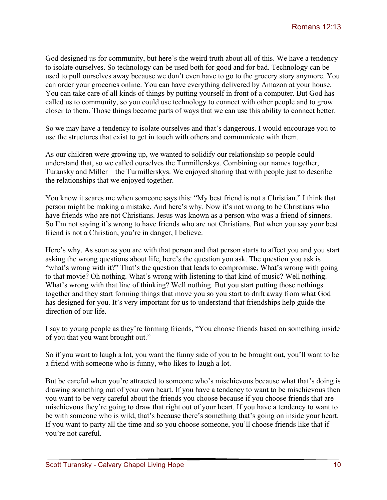God designed us for community, but here's the weird truth about all of this. We have a tendency to isolate ourselves. So technology can be used both for good and for bad. Technology can be used to pull ourselves away because we don't even have to go to the grocery story anymore. You can order your groceries online. You can have everything delivered by Amazon at your house. You can take care of all kinds of things by putting yourself in front of a computer. But God has called us to community, so you could use technology to connect with other people and to grow closer to them. Those things become parts of ways that we can use this ability to connect better.

So we may have a tendency to isolate ourselves and that's dangerous. I would encourage you to use the structures that exist to get in touch with others and communicate with them.

As our children were growing up, we wanted to solidify our relationship so people could understand that, so we called ourselves the Turmillerskys. Combining our names together, Turansky and Miller – the Turmillerskys. We enjoyed sharing that with people just to describe the relationships that we enjoyed together.

You know it scares me when someone says this: "My best friend is not a Christian." I think that person might be making a mistake. And here's why. Now it's not wrong to be Christians who have friends who are not Christians. Jesus was known as a person who was a friend of sinners. So I'm not saying it's wrong to have friends who are not Christians. But when you say your best friend is not a Christian, you're in danger, I believe.

Here's why. As soon as you are with that person and that person starts to affect you and you start asking the wrong questions about life, here's the question you ask. The question you ask is "what's wrong with it?" That's the question that leads to compromise. What's wrong with going to that movie? Oh nothing. What's wrong with listening to that kind of music? Well nothing. What's wrong with that line of thinking? Well nothing. But you start putting those nothings together and they start forming things that move you so you start to drift away from what God has designed for you. It's very important for us to understand that friendships help guide the direction of our life.

I say to young people as they're forming friends, "You choose friends based on something inside of you that you want brought out."

So if you want to laugh a lot, you want the funny side of you to be brought out, you'll want to be a friend with someone who is funny, who likes to laugh a lot.

But be careful when you're attracted to someone who's mischievous because what that's doing is drawing something out of your own heart. If you have a tendency to want to be mischievous then you want to be very careful about the friends you choose because if you choose friends that are mischievous they're going to draw that right out of your heart. If you have a tendency to want to be with someone who is wild, that's because there's something that's going on inside your heart. If you want to party all the time and so you choose someone, you'll choose friends like that if you're not careful.